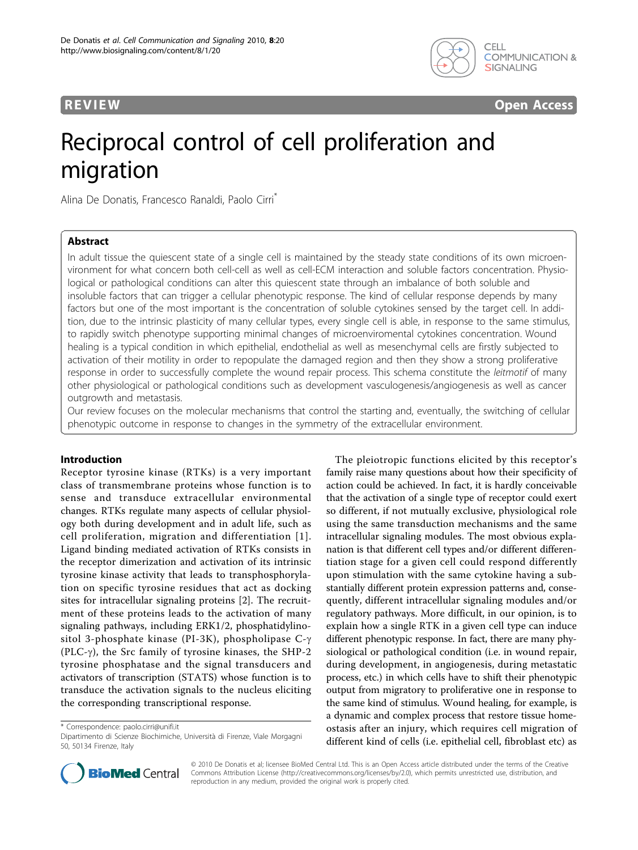



# Reciprocal control of cell proliferation and migration

Alina De Donatis, Francesco Ranaldi, Paolo Cirri\*

# Abstract

In adult tissue the quiescent state of a single cell is maintained by the steady state conditions of its own microenvironment for what concern both cell-cell as well as cell-ECM interaction and soluble factors concentration. Physiological or pathological conditions can alter this quiescent state through an imbalance of both soluble and insoluble factors that can trigger a cellular phenotypic response. The kind of cellular response depends by many factors but one of the most important is the concentration of soluble cytokines sensed by the target cell. In addition, due to the intrinsic plasticity of many cellular types, every single cell is able, in response to the same stimulus, to rapidly switch phenotype supporting minimal changes of microenviromental cytokines concentration. Wound healing is a typical condition in which epithelial, endothelial as well as mesenchymal cells are firstly subjected to activation of their motility in order to repopulate the damaged region and then they show a strong proliferative response in order to successfully complete the wound repair process. This schema constitute the leitmotif of many other physiological or pathological conditions such as development vasculogenesis/angiogenesis as well as cancer outgrowth and metastasis.

Our review focuses on the molecular mechanisms that control the starting and, eventually, the switching of cellular phenotypic outcome in response to changes in the symmetry of the extracellular environment.

# Introduction

Receptor tyrosine kinase (RTKs) is a very important class of transmembrane proteins whose function is to sense and transduce extracellular environmental changes. RTKs regulate many aspects of cellular physiology both during development and in adult life, such as cell proliferation, migration and differentiation [[1\]](#page-3-0). Ligand binding mediated activation of RTKs consists in the receptor dimerization and activation of its intrinsic tyrosine kinase activity that leads to transphosphorylation on specific tyrosine residues that act as docking sites for intracellular signaling proteins [[2\]](#page-3-0). The recruitment of these proteins leads to the activation of many signaling pathways, including ERK1/2, phosphatidylinositol 3-phosphate kinase (PI-3K), phospholipase  $C-\gamma$ (PLC- $\gamma$ ), the Src family of tyrosine kinases, the SHP-2 tyrosine phosphatase and the signal transducers and activators of transcription (STATS) whose function is to transduce the activation signals to the nucleus eliciting the corresponding transcriptional response.

\* Correspondence: [paolo.cirri@unifi.it](mailto:paolo.cirri@unifi.it)

The pleiotropic functions elicited by this receptor's family raise many questions about how their specificity of action could be achieved. In fact, it is hardly conceivable that the activation of a single type of receptor could exert so different, if not mutually exclusive, physiological role using the same transduction mechanisms and the same intracellular signaling modules. The most obvious explanation is that different cell types and/or different differentiation stage for a given cell could respond differently upon stimulation with the same cytokine having a substantially different protein expression patterns and, consequently, different intracellular signaling modules and/or regulatory pathways. More difficult, in our opinion, is to explain how a single RTK in a given cell type can induce different phenotypic response. In fact, there are many physiological or pathological condition (i.e. in wound repair, during development, in angiogenesis, during metastatic process, etc.) in which cells have to shift their phenotypic output from migratory to proliferative one in response to the same kind of stimulus. Wound healing, for example, is a dynamic and complex process that restore tissue homeostasis after an injury, which requires cell migration of different kind of cells (i.e. epithelial cell, fibroblast etc) as



© 2010 De Donatis et al; licensee BioMed Central Ltd. This is an Open Access article distributed under the terms of the Creative Commons Attribution License [\(http://creativecommons.org/licenses/by/2.0](http://creativecommons.org/licenses/by/2.0)), which permits unrestricted use, distribution, and reproduction in any medium, provided the original work is properly cited.

Dipartimento di Scienze Biochimiche, Università di Firenze, Viale Morgagni 50, 50134 Firenze, Italy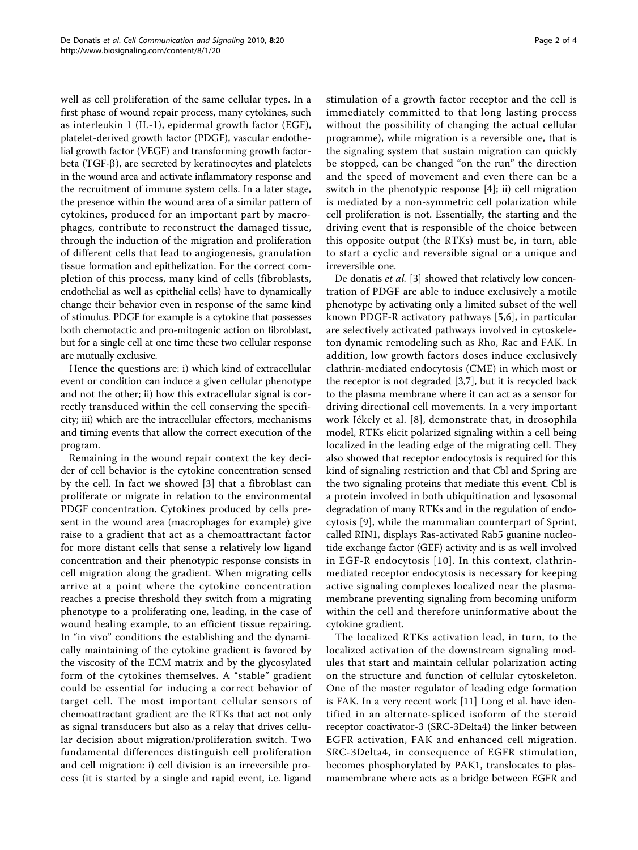well as cell proliferation of the same cellular types. In a first phase of wound repair process, many cytokines, such as interleukin 1 (IL-1), epidermal growth factor (EGF), platelet-derived growth factor (PDGF), vascular endothelial growth factor (VEGF) and transforming growth factorbeta (TGF- $\beta$ ), are secreted by keratinocytes and platelets in the wound area and activate inflammatory response and the recruitment of immune system cells. In a later stage, the presence within the wound area of a similar pattern of cytokines, produced for an important part by macrophages, contribute to reconstruct the damaged tissue, through the induction of the migration and proliferation of different cells that lead to angiogenesis, granulation tissue formation and epithelization. For the correct completion of this process, many kind of cells (fibroblasts, endothelial as well as epithelial cells) have to dynamically change their behavior even in response of the same kind of stimulus. PDGF for example is a cytokine that possesses both chemotactic and pro-mitogenic action on fibroblast, but for a single cell at one time these two cellular response are mutually exclusive.

Hence the questions are: i) which kind of extracellular event or condition can induce a given cellular phenotype and not the other; ii) how this extracellular signal is correctly transduced within the cell conserving the specificity; iii) which are the intracellular effectors, mechanisms and timing events that allow the correct execution of the program.

Remaining in the wound repair context the key decider of cell behavior is the cytokine concentration sensed by the cell. In fact we showed [\[3](#page-3-0)] that a fibroblast can proliferate or migrate in relation to the environmental PDGF concentration. Cytokines produced by cells present in the wound area (macrophages for example) give raise to a gradient that act as a chemoattractant factor for more distant cells that sense a relatively low ligand concentration and their phenotypic response consists in cell migration along the gradient. When migrating cells arrive at a point where the cytokine concentration reaches a precise threshold they switch from a migrating phenotype to a proliferating one, leading, in the case of wound healing example, to an efficient tissue repairing. In "in vivo" conditions the establishing and the dynamically maintaining of the cytokine gradient is favored by the viscosity of the ECM matrix and by the glycosylated form of the cytokines themselves. A "stable" gradient could be essential for inducing a correct behavior of target cell. The most important cellular sensors of chemoattractant gradient are the RTKs that act not only as signal transducers but also as a relay that drives cellular decision about migration/proliferation switch. Two fundamental differences distinguish cell proliferation and cell migration: i) cell division is an irreversible process (it is started by a single and rapid event, i.e. ligand stimulation of a growth factor receptor and the cell is immediately committed to that long lasting process without the possibility of changing the actual cellular programme), while migration is a reversible one, that is the signaling system that sustain migration can quickly be stopped, can be changed "on the run" the direction and the speed of movement and even there can be a switch in the phenotypic response [[4\]](#page-3-0); ii) cell migration is mediated by a non-symmetric cell polarization while cell proliferation is not. Essentially, the starting and the driving event that is responsible of the choice between this opposite output (the RTKs) must be, in turn, able to start a cyclic and reversible signal or a unique and irreversible one.

De donatis *et al.* [[3\]](#page-3-0) showed that relatively low concentration of PDGF are able to induce exclusively a motile phenotype by activating only a limited subset of the well known PDGF-R activatory pathways [[5,6\]](#page-3-0), in particular are selectively activated pathways involved in cytoskeleton dynamic remodeling such as Rho, Rac and FAK. In addition, low growth factors doses induce exclusively clathrin-mediated endocytosis (CME) in which most or the receptor is not degraded [[3,7\]](#page-3-0), but it is recycled back to the plasma membrane where it can act as a sensor for driving directional cell movements. In a very important work Jékely et al. [[8\]](#page-3-0), demonstrate that, in drosophila model, RTKs elicit polarized signaling within a cell being localized in the leading edge of the migrating cell. They also showed that receptor endocytosis is required for this kind of signaling restriction and that Cbl and Spring are the two signaling proteins that mediate this event. Cbl is a protein involved in both ubiquitination and lysosomal degradation of many RTKs and in the regulation of endocytosis [[9](#page-3-0)], while the mammalian counterpart of Sprint, called RIN1, displays Ras-activated Rab5 guanine nucleotide exchange factor (GEF) activity and is as well involved in EGF-R endocytosis [[10](#page-3-0)]. In this context, clathrinmediated receptor endocytosis is necessary for keeping active signaling complexes localized near the plasmamembrane preventing signaling from becoming uniform within the cell and therefore uninformative about the cytokine gradient.

The localized RTKs activation lead, in turn, to the localized activation of the downstream signaling modules that start and maintain cellular polarization acting on the structure and function of cellular cytoskeleton. One of the master regulator of leading edge formation is FAK. In a very recent work [[11\]](#page-3-0) Long et al. have identified in an alternate-spliced isoform of the steroid receptor coactivator-3 (SRC-3Delta4) the linker between EGFR activation, FAK and enhanced cell migration. SRC-3Delta4, in consequence of EGFR stimulation, becomes phosphorylated by PAK1, translocates to plasmamembrane where acts as a bridge between EGFR and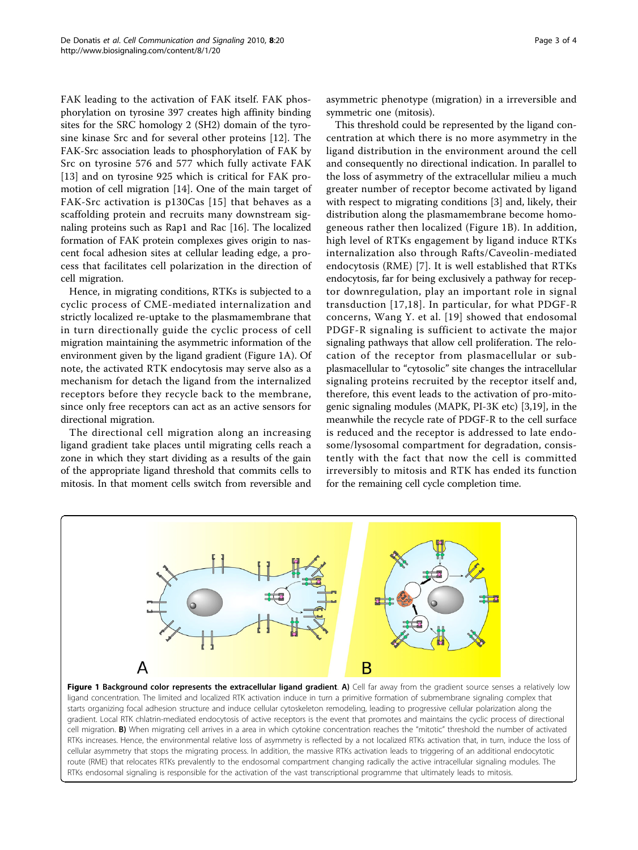FAK leading to the activation of FAK itself. FAK phosphorylation on tyrosine 397 creates high affinity binding sites for the SRC homology 2 (SH2) domain of the tyrosine kinase Src and for several other proteins [[12](#page-3-0)]. The FAK-Src association leads to phosphorylation of FAK by Src on tyrosine 576 and 577 which fully activate FAK [[13\]](#page-3-0) and on tyrosine 925 which is critical for FAK promotion of cell migration [[14\]](#page-3-0). One of the main target of FAK-Src activation is p130Cas [[15](#page-3-0)] that behaves as a scaffolding protein and recruits many downstream signaling proteins such as Rap1 and Rac [[16](#page-3-0)]. The localized formation of FAK protein complexes gives origin to nascent focal adhesion sites at cellular leading edge, a process that facilitates cell polarization in the direction of cell migration.

Hence, in migrating conditions, RTKs is subjected to a cyclic process of CME-mediated internalization and strictly localized re-uptake to the plasmamembrane that in turn directionally guide the cyclic process of cell migration maintaining the asymmetric information of the environment given by the ligand gradient (Figure 1A). Of note, the activated RTK endocytosis may serve also as a mechanism for detach the ligand from the internalized receptors before they recycle back to the membrane, since only free receptors can act as an active sensors for directional migration.

The directional cell migration along an increasing ligand gradient take places until migrating cells reach a zone in which they start dividing as a results of the gain of the appropriate ligand threshold that commits cells to mitosis. In that moment cells switch from reversible and asymmetric phenotype (migration) in a irreversible and symmetric one (mitosis).

This threshold could be represented by the ligand concentration at which there is no more asymmetry in the ligand distribution in the environment around the cell and consequently no directional indication. In parallel to the loss of asymmetry of the extracellular milieu a much greater number of receptor become activated by ligand with respect to migrating conditions [\[3](#page-3-0)] and, likely, their distribution along the plasmamembrane become homogeneous rather then localized (Figure 1B). In addition, high level of RTKs engagement by ligand induce RTKs internalization also through Rafts/Caveolin-mediated endocytosis (RME) [[7\]](#page-3-0). It is well established that RTKs endocytosis, far for being exclusively a pathway for receptor downregulation, play an important role in signal transduction [[17](#page-3-0),[18](#page-3-0)]. In particular, for what PDGF-R concerns, Wang Y. et al. [[19\]](#page-3-0) showed that endosomal PDGF-R signaling is sufficient to activate the major signaling pathways that allow cell proliferation. The relocation of the receptor from plasmacellular or subplasmacellular to "cytosolic" site changes the intracellular signaling proteins recruited by the receptor itself and, therefore, this event leads to the activation of pro-mitogenic signaling modules (MAPK, PI-3K etc) [[3,19\]](#page-3-0), in the meanwhile the recycle rate of PDGF-R to the cell surface is reduced and the receptor is addressed to late endosome/lysosomal compartment for degradation, consistently with the fact that now the cell is committed irreversibly to mitosis and RTK has ended its function for the remaining cell cycle completion time.



Figure 1 Background color represents the extracellular ligand gradient. A) Cell far away from the gradient source senses a relatively low ligand concentration. The limited and localized RTK activation induce in turn a primitive formation of submembrane signaling complex that starts organizing focal adhesion structure and induce cellular cytoskeleton remodeling, leading to progressive cellular polarization along the gradient. Local RTK chlatrin-mediated endocytosis of active receptors is the event that promotes and maintains the cyclic process of directional cell migration. B) When migrating cell arrives in a area in which cytokine concentration reaches the "mitotic" threshold the number of activated RTKs increases. Hence, the environmental relative loss of asymmetry is reflected by a not localized RTKs activation that, in turn, induce the loss of cellular asymmetry that stops the migrating process. In addition, the massive RTKs activation leads to triggering of an additional endocytotic route (RME) that relocates RTKs prevalently to the endosomal compartment changing radically the active intracellular signaling modules. The RTKs endosomal signaling is responsible for the activation of the vast transcriptional programme that ultimately leads to mitosis.